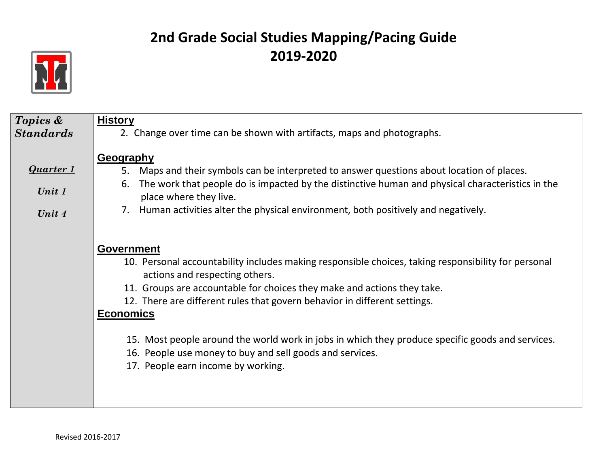

| Topics &                             | <b>History</b>                                                                                                                                                                                                                                                                                                                                                                                                                                                                                                                               |
|--------------------------------------|----------------------------------------------------------------------------------------------------------------------------------------------------------------------------------------------------------------------------------------------------------------------------------------------------------------------------------------------------------------------------------------------------------------------------------------------------------------------------------------------------------------------------------------------|
| <b>Standards</b>                     | 2. Change over time can be shown with artifacts, maps and photographs.                                                                                                                                                                                                                                                                                                                                                                                                                                                                       |
| <b>Quarter 1</b><br>Unit 1<br>Unit 4 | <b>Geography</b><br>Maps and their symbols can be interpreted to answer questions about location of places.<br>5.<br>The work that people do is impacted by the distinctive human and physical characteristics in the<br>6.<br>place where they live.<br>Human activities alter the physical environment, both positively and negatively.<br>7.                                                                                                                                                                                              |
|                                      | <b>Government</b><br>10. Personal accountability includes making responsible choices, taking responsibility for personal<br>actions and respecting others.<br>11. Groups are accountable for choices they make and actions they take.<br>12. There are different rules that govern behavior in different settings.<br><b>Economics</b><br>15. Most people around the world work in jobs in which they produce specific goods and services.<br>16. People use money to buy and sell goods and services.<br>17. People earn income by working. |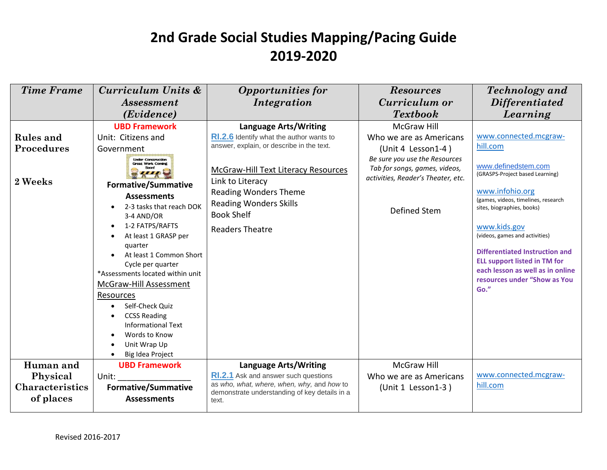| <b>Time Frame</b>                  | Curriculum Units &                                                                                                                                                                                                                                                                            | <b>Opportunities for</b>                                                                                     | <b>Resources</b>                                                                                     | <b>Technology</b> and                                                                                                                                                                      |
|------------------------------------|-----------------------------------------------------------------------------------------------------------------------------------------------------------------------------------------------------------------------------------------------------------------------------------------------|--------------------------------------------------------------------------------------------------------------|------------------------------------------------------------------------------------------------------|--------------------------------------------------------------------------------------------------------------------------------------------------------------------------------------------|
|                                    | <i>Assessment</i>                                                                                                                                                                                                                                                                             | Integration                                                                                                  | Curriculum or                                                                                        | <i>Differentiated</i>                                                                                                                                                                      |
|                                    | (Evidence)                                                                                                                                                                                                                                                                                    |                                                                                                              | <b>Textbook</b>                                                                                      | Learning                                                                                                                                                                                   |
|                                    | <b>UBD Framework</b>                                                                                                                                                                                                                                                                          | <b>Language Arts/Writing</b>                                                                                 | <b>McGraw Hill</b>                                                                                   |                                                                                                                                                                                            |
| <b>Rules</b> and                   | Unit: Citizens and                                                                                                                                                                                                                                                                            | <b>RI.2.6</b> Identify what the author wants to                                                              | Who we are as Americans                                                                              | www.connected.mcgraw-                                                                                                                                                                      |
| <b>Procedures</b>                  | Government                                                                                                                                                                                                                                                                                    | answer, explain, or describe in the text.                                                                    | (Unit 4 Lesson1-4)                                                                                   | hill.com                                                                                                                                                                                   |
| 2 Weeks                            | <b>Under Construction</b><br><b>Great Work Coming</b><br><b>Formative/Summative</b>                                                                                                                                                                                                           | McGraw-Hill Text Literacy Resources<br>Link to Literacy                                                      | Be sure you use the Resources<br>Tab for songs, games, videos,<br>activities, Reader's Theater, etc. | www.definedstem.com<br>(GRASPS-Project based Learning)                                                                                                                                     |
|                                    | <b>Assessments</b><br>2-3 tasks that reach DOK<br>3-4 AND/OR<br>1-2 FATPS/RAFTS<br>$\bullet$                                                                                                                                                                                                  | <b>Reading Wonders Theme</b><br><b>Reading Wonders Skills</b><br><b>Book Shelf</b><br><b>Readers Theatre</b> | Defined Stem                                                                                         | www.infohio.org<br>(games, videos, timelines, research<br>sites, biographies, books)<br>www.kids.gov                                                                                       |
|                                    | At least 1 GRASP per<br>quarter<br>At least 1 Common Short<br>Cycle per quarter<br>*Assessments located within unit<br><b>McGraw-Hill Assessment</b><br>Resources<br>Self-Check Quiz<br><b>CCSS Reading</b><br><b>Informational Text</b><br>Words to Know<br>Unit Wrap Up<br>Big Idea Project |                                                                                                              |                                                                                                      | (videos, games and activities)<br><b>Differentiated Instruction and</b><br><b>ELL support listed in TM for</b><br>each lesson as well as in online<br>resources under "Show as You<br>Go." |
| Human and                          | <b>UBD Framework</b>                                                                                                                                                                                                                                                                          | <b>Language Arts/Writing</b><br><b>RI.2.1</b> Ask and answer such questions                                  | <b>McGraw Hill</b>                                                                                   | www.connected.mcgraw-                                                                                                                                                                      |
| Physical<br><b>Characteristics</b> | Unit:                                                                                                                                                                                                                                                                                         | as who, what, where, when, why, and how to                                                                   | Who we are as Americans                                                                              | hill.com                                                                                                                                                                                   |
| of places                          | <b>Formative/Summative</b><br><b>Assessments</b>                                                                                                                                                                                                                                              | demonstrate understanding of key details in a<br>text.                                                       | (Unit 1 Lesson1-3)                                                                                   |                                                                                                                                                                                            |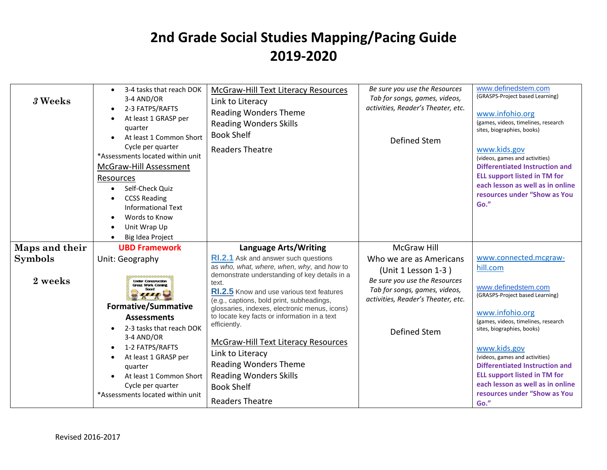| 3 Weeks                   | 3-4 tasks that reach DOK<br>3-4 AND/OR<br>2-3 FATPS/RAFTS<br>$\bullet$<br>At least 1 GRASP per<br>$\bullet$<br>quarter<br>At least 1 Common Short<br>Cycle per quarter<br>*Assessments located within unit<br>McGraw-Hill Assessment<br>Resources<br>Self-Check Ouiz<br>$\bullet$<br><b>CCSS Reading</b><br><b>Informational Text</b><br>Words to Know<br>Unit Wrap Up<br>Big Idea Project | McGraw-Hill Text Literacy Resources<br>Link to Literacy<br><b>Reading Wonders Theme</b><br><b>Reading Wonders Skills</b><br><b>Book Shelf</b><br><b>Readers Theatre</b>                                                                                                                                                                                                                                                                                                                                                                          | Be sure you use the Resources<br>Tab for songs, games, videos,<br>activities, Reader's Theater, etc.<br><b>Defined Stem</b>                                            | www.definedstem.com<br>(GRASPS-Project based Learning)<br>www.infohio.org<br>(games, videos, timelines, research<br>sites, biographies, books)<br>www.kids.gov<br>(videos, games and activities)<br><b>Differentiated Instruction and</b><br><b>ELL support listed in TM for</b><br>each lesson as well as in online<br>resources under "Show as You<br>Go."                               |
|---------------------------|--------------------------------------------------------------------------------------------------------------------------------------------------------------------------------------------------------------------------------------------------------------------------------------------------------------------------------------------------------------------------------------------|--------------------------------------------------------------------------------------------------------------------------------------------------------------------------------------------------------------------------------------------------------------------------------------------------------------------------------------------------------------------------------------------------------------------------------------------------------------------------------------------------------------------------------------------------|------------------------------------------------------------------------------------------------------------------------------------------------------------------------|--------------------------------------------------------------------------------------------------------------------------------------------------------------------------------------------------------------------------------------------------------------------------------------------------------------------------------------------------------------------------------------------|
| Maps and their            | <b>UBD Framework</b>                                                                                                                                                                                                                                                                                                                                                                       | Language Arts/Writing                                                                                                                                                                                                                                                                                                                                                                                                                                                                                                                            | <b>McGraw Hill</b>                                                                                                                                                     |                                                                                                                                                                                                                                                                                                                                                                                            |
| <b>Symbols</b><br>2 weeks | Unit: Geography<br><b>Under Construction</b><br><b>Great Work Coming</b><br><b>Formative/Summative</b><br><b>Assessments</b><br>2-3 tasks that reach DOK<br>$\bullet$<br>3-4 AND/OR<br>1-2 FATPS/RAFTS<br>At least 1 GRASP per<br>quarter<br>At least 1 Common Short<br>Cycle per quarter<br>*Assessments located within unit                                                              | <b>RI.2.1</b> Ask and answer such questions<br>as who, what, where, when, why, and how to<br>demonstrate understanding of key details in a<br>text.<br><b>RI.2.5</b> Know and use various text features<br>(e.g., captions, bold print, subheadings,<br>glossaries, indexes, electronic menus, icons)<br>to locate key facts or information in a text<br>efficiently.<br>McGraw-Hill Text Literacy Resources<br>Link to Literacy<br><b>Reading Wonders Theme</b><br><b>Reading Wonders Skills</b><br><b>Book Shelf</b><br><b>Readers Theatre</b> | Who we are as Americans<br>(Unit 1 Lesson 1-3)<br>Be sure you use the Resources<br>Tab for songs, games, videos,<br>activities, Reader's Theater, etc.<br>Defined Stem | www.connected.mcgraw-<br>hill.com<br>www.definedstem.com<br>(GRASPS-Project based Learning)<br>www.infohio.org<br>(games, videos, timelines, research<br>sites, biographies, books)<br>www.kids.gov<br>(videos, games and activities)<br>Differentiated Instruction and<br><b>ELL support listed in TM for</b><br>each lesson as well as in online<br>resources under "Show as You<br>Go." |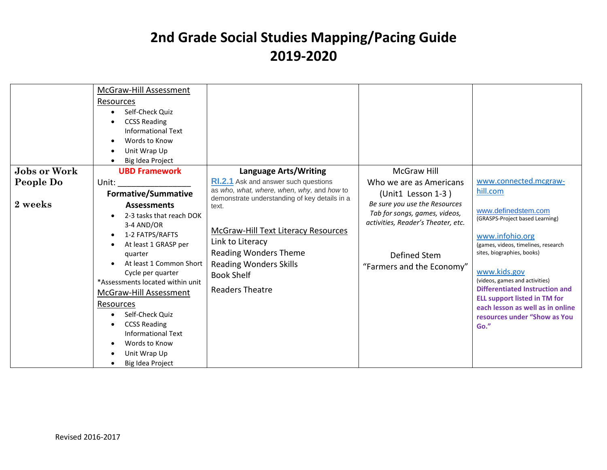| <b>Jobs or Work</b><br>People Do<br>2 weeks | McGraw-Hill Assessment<br>Resources<br>Self-Check Quiz<br><b>CCSS Reading</b><br>Informational Text<br>Words to Know<br>Unit Wrap Up<br>Big Idea Project<br><b>UBD Framework</b><br>Unit:<br><b>Formative/Summative</b><br><b>Assessments</b><br>2-3 tasks that reach DOK<br>3-4 AND/OR<br>1-2 FATPS/RAFTS<br>At least 1 GRASP per<br>quarter<br>At least 1 Common Short<br>Cycle per quarter<br>*Assessments located within unit<br><b>McGraw-Hill Assessment</b><br>Resources<br>Self-Check Quiz<br><b>CCSS Reading</b><br><b>Informational Text</b> | Language Arts/Writing<br><b>RI.2.1</b> Ask and answer such questions<br>as who, what, where, when, why, and how to<br>demonstrate understanding of key details in a<br>text.<br>McGraw-Hill Text Literacy Resources<br>Link to Literacy<br><b>Reading Wonders Theme</b><br><b>Reading Wonders Skills</b><br><b>Book Shelf</b><br><b>Readers Theatre</b> | <b>McGraw Hill</b><br>Who we are as Americans<br>(Unit1 Lesson 1-3)<br>Be sure you use the Resources<br>Tab for songs, games, videos,<br>activities, Reader's Theater, etc.<br>Defined Stem<br>"Farmers and the Economy" | www.connected.mcgraw-<br>hill.com<br>www.definedstem.com<br>(GRASPS-Project based Learning)<br>www.infohio.org<br>(games, videos, timelines, research<br>sites, biographies, books)<br>www.kids.gov<br>(videos, games and activities)<br>Differentiated Instruction and<br><b>ELL support listed in TM for</b><br>each lesson as well as in online<br>resources under "Show as You<br>Go." |
|---------------------------------------------|--------------------------------------------------------------------------------------------------------------------------------------------------------------------------------------------------------------------------------------------------------------------------------------------------------------------------------------------------------------------------------------------------------------------------------------------------------------------------------------------------------------------------------------------------------|---------------------------------------------------------------------------------------------------------------------------------------------------------------------------------------------------------------------------------------------------------------------------------------------------------------------------------------------------------|--------------------------------------------------------------------------------------------------------------------------------------------------------------------------------------------------------------------------|--------------------------------------------------------------------------------------------------------------------------------------------------------------------------------------------------------------------------------------------------------------------------------------------------------------------------------------------------------------------------------------------|
|                                             | Words to Know<br>Unit Wrap Up<br>Big Idea Project                                                                                                                                                                                                                                                                                                                                                                                                                                                                                                      |                                                                                                                                                                                                                                                                                                                                                         |                                                                                                                                                                                                                          |                                                                                                                                                                                                                                                                                                                                                                                            |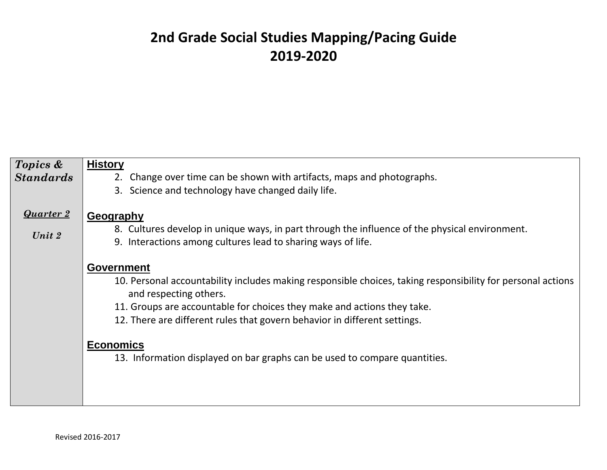| Topics &<br><b>Standards</b> | <b>History</b><br>2. Change over time can be shown with artifacts, maps and photographs.<br>3. Science and technology have changed daily life.                                                                                                                                                                                                                                                                       |
|------------------------------|----------------------------------------------------------------------------------------------------------------------------------------------------------------------------------------------------------------------------------------------------------------------------------------------------------------------------------------------------------------------------------------------------------------------|
| <b>Quarter 2</b><br>Unit 2   | Geography<br>8. Cultures develop in unique ways, in part through the influence of the physical environment.<br>9. Interactions among cultures lead to sharing ways of life.                                                                                                                                                                                                                                          |
|                              | <b>Government</b><br>10. Personal accountability includes making responsible choices, taking responsibility for personal actions<br>and respecting others.<br>11. Groups are accountable for choices they make and actions they take.<br>12. There are different rules that govern behavior in different settings.<br><b>Economics</b><br>13. Information displayed on bar graphs can be used to compare quantities. |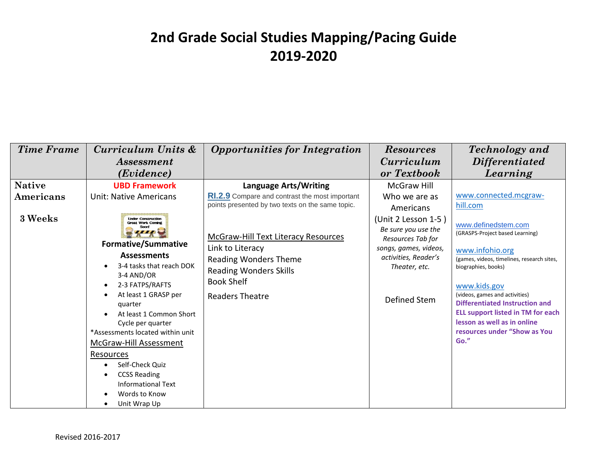| <b>Time Frame</b>                     | Curriculum Units &                                                                                                                                                                                                                                                                                                                                                                  | <b>Opportunities for Integration</b>                                                                                                                                           | <b>Resources</b>                                                                                                           | <b>Technology</b> and                                                                                                                                                                                                                                                                                                                                 |
|---------------------------------------|-------------------------------------------------------------------------------------------------------------------------------------------------------------------------------------------------------------------------------------------------------------------------------------------------------------------------------------------------------------------------------------|--------------------------------------------------------------------------------------------------------------------------------------------------------------------------------|----------------------------------------------------------------------------------------------------------------------------|-------------------------------------------------------------------------------------------------------------------------------------------------------------------------------------------------------------------------------------------------------------------------------------------------------------------------------------------------------|
|                                       | <i>Assessment</i>                                                                                                                                                                                                                                                                                                                                                                   |                                                                                                                                                                                | <i>Curriculum</i>                                                                                                          | <b>Differentiated</b>                                                                                                                                                                                                                                                                                                                                 |
|                                       | (Evidence)                                                                                                                                                                                                                                                                                                                                                                          |                                                                                                                                                                                | or Textbook                                                                                                                | Learning                                                                                                                                                                                                                                                                                                                                              |
| <b>Native</b><br>Americans<br>3 Weeks | <b>UBD Framework</b><br><b>Unit: Native Americans</b><br><b>Under Construction</b><br><b>Great Work Coming</b>                                                                                                                                                                                                                                                                      | <b>Language Arts/Writing</b><br><b>RI.2.9</b> Compare and contrast the most important<br>points presented by two texts on the same topic.                                      | McGraw Hill<br>Who we are as<br>Americans<br>(Unit 2 Lesson 1-5)                                                           | www.connected.mcgraw-<br>hill.com                                                                                                                                                                                                                                                                                                                     |
|                                       | <b>Formative/Summative</b><br><b>Assessments</b><br>3-4 tasks that reach DOK<br>3-4 AND/OR<br>2-3 FATPS/RAFTS<br>At least 1 GRASP per<br>quarter<br>At least 1 Common Short<br>Cycle per quarter<br>*Assessments located within unit<br>McGraw-Hill Assessment<br>Resources<br>Self-Check Quiz<br><b>CCSS Reading</b><br><b>Informational Text</b><br>Words to Know<br>Unit Wrap Up | <b>McGraw-Hill Text Literacy Resources</b><br>Link to Literacy<br><b>Reading Wonders Theme</b><br><b>Reading Wonders Skills</b><br><b>Book Shelf</b><br><b>Readers Theatre</b> | Be sure you use the<br>Resources Tab for<br>songs, games, videos,<br>activities, Reader's<br>Theater, etc.<br>Defined Stem | www.definedstem.com<br>(GRASPS-Project based Learning)<br>www.infohio.org<br>(games, videos, timelines, research sites,<br>biographies, books)<br>www.kids.gov<br>(videos, games and activities)<br>Differentiated Instruction and<br><b>ELL support listed in TM for each</b><br>lesson as well as in online<br>resources under "Show as You<br>Go." |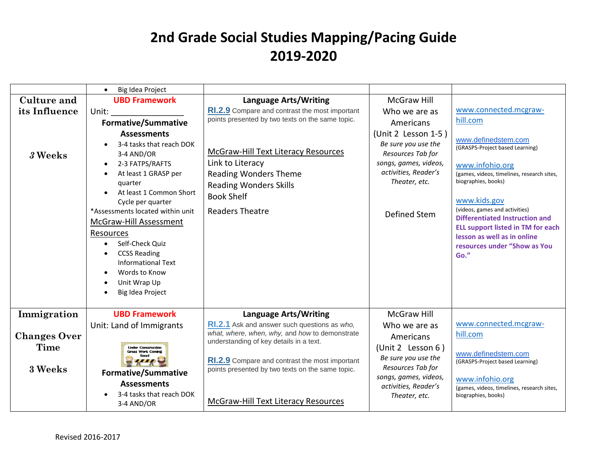|                     | Big Idea Project<br>$\bullet$                                                                                                                                                                                                                                                                                                                                                                       |                                                                                                                                                                         |                                                                                                                                                   |                                                                                                                                                                                                                                                                                                                                                              |
|---------------------|-----------------------------------------------------------------------------------------------------------------------------------------------------------------------------------------------------------------------------------------------------------------------------------------------------------------------------------------------------------------------------------------------------|-------------------------------------------------------------------------------------------------------------------------------------------------------------------------|---------------------------------------------------------------------------------------------------------------------------------------------------|--------------------------------------------------------------------------------------------------------------------------------------------------------------------------------------------------------------------------------------------------------------------------------------------------------------------------------------------------------------|
| <b>Culture and</b>  | <b>UBD Framework</b>                                                                                                                                                                                                                                                                                                                                                                                | <b>Language Arts/Writing</b>                                                                                                                                            | <b>McGraw Hill</b>                                                                                                                                |                                                                                                                                                                                                                                                                                                                                                              |
| its Influence       | Unit:                                                                                                                                                                                                                                                                                                                                                                                               | RI.2.9 Compare and contrast the most important                                                                                                                          | Who we are as                                                                                                                                     | www.connected.mcgraw-                                                                                                                                                                                                                                                                                                                                        |
|                     | <b>Formative/Summative</b>                                                                                                                                                                                                                                                                                                                                                                          | points presented by two texts on the same topic.                                                                                                                        | Americans                                                                                                                                         | hill.com                                                                                                                                                                                                                                                                                                                                                     |
| 3 Weeks             | <b>Assessments</b><br>3-4 tasks that reach DOK<br>3-4 AND/OR<br>2-3 FATPS/RAFTS<br>$\bullet$<br>At least 1 GRASP per<br>quarter<br>At least 1 Common Short<br>Cycle per quarter<br>*Assessments located within unit<br>McGraw-Hill Assessment<br>Resources<br>Self-Check Quiz<br>$\bullet$<br><b>CCSS Reading</b><br><b>Informational Text</b><br>Words to Know<br>Unit Wrap Up<br>Big Idea Project | McGraw-Hill Text Literacy Resources<br>Link to Literacy<br><b>Reading Wonders Theme</b><br><b>Reading Wonders Skills</b><br><b>Book Shelf</b><br><b>Readers Theatre</b> | (Unit 2 Lesson 1-5)<br>Be sure you use the<br>Resources Tab for<br>songs, games, videos,<br>activities, Reader's<br>Theater, etc.<br>Defined Stem | www.definedstem.com<br>(GRASPS-Project based Learning)<br>www.infohio.org<br>(games, videos, timelines, research sites,<br>biographies, books)<br>www.kids.gov<br>(videos, games and activities)<br><b>Differentiated Instruction and</b><br><b>ELL support listed in TM for each</b><br>lesson as well as in online<br>resources under "Show as You<br>Go." |
| Immigration         | <b>UBD Framework</b>                                                                                                                                                                                                                                                                                                                                                                                | <b>Language Arts/Writing</b>                                                                                                                                            | <b>McGraw Hill</b>                                                                                                                                |                                                                                                                                                                                                                                                                                                                                                              |
| <b>Changes Over</b> | Unit: Land of Immigrants                                                                                                                                                                                                                                                                                                                                                                            | RI.2.1 Ask and answer such questions as who,<br>what, where, when, why, and how to demonstrate<br>understanding of key details in a text.                               | Who we are as<br>Americans                                                                                                                        | www.connected.mcgraw-<br>hill.com                                                                                                                                                                                                                                                                                                                            |
| Time<br>3 Weeks     | <b>Linder Construction</b><br><b>Great Work Coming</b><br><b>Formative/Summative</b>                                                                                                                                                                                                                                                                                                                | RI.2.9 Compare and contrast the most important<br>points presented by two texts on the same topic.                                                                      | (Unit 2 Lesson 6)<br>Be sure you use the<br>Resources Tab for                                                                                     | www.definedstem.com<br>(GRASPS-Project based Learning)                                                                                                                                                                                                                                                                                                       |
|                     | <b>Assessments</b><br>3-4 tasks that reach DOK<br>3-4 AND/OR                                                                                                                                                                                                                                                                                                                                        | McGraw-Hill Text Literacy Resources                                                                                                                                     | songs, games, videos,<br>activities, Reader's<br>Theater, etc.                                                                                    | www.infohio.org<br>(games, videos, timelines, research sites,<br>biographies, books)                                                                                                                                                                                                                                                                         |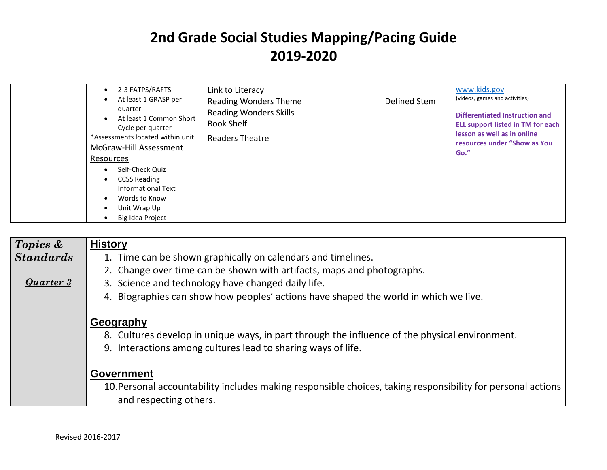| 2-3 FATPS/RAFTS<br>Link to Literacy<br>At least 1 GRASP per<br>quarter<br>At least 1 Common Short<br>Cycle per quarter<br>*Assessments located within unit<br>McGraw-Hill Assessment<br>Resources<br>Self-Check Quiz<br>$\bullet$<br><b>CCSS Reading</b><br><b>Informational Text</b><br>Words to Know<br>Unit Wrap Up<br>Big Idea Project | <b>Reading Wonders Theme</b><br><b>Reading Wonders Skills</b><br><b>Book Shelf</b><br>Readers Theatre | Defined Stem | (videos, games and activities)<br>Differentiated Instruction and<br><b>ELL support listed in TM for each</b><br>lesson as well as in online<br>resources under "Show as You<br>Go." |
|--------------------------------------------------------------------------------------------------------------------------------------------------------------------------------------------------------------------------------------------------------------------------------------------------------------------------------------------|-------------------------------------------------------------------------------------------------------|--------------|-------------------------------------------------------------------------------------------------------------------------------------------------------------------------------------|
|--------------------------------------------------------------------------------------------------------------------------------------------------------------------------------------------------------------------------------------------------------------------------------------------------------------------------------------------|-------------------------------------------------------------------------------------------------------|--------------|-------------------------------------------------------------------------------------------------------------------------------------------------------------------------------------|

| Topics &         | <b>History</b>                                                                                                                        |
|------------------|---------------------------------------------------------------------------------------------------------------------------------------|
| <b>Standards</b> | 1. Time can be shown graphically on calendars and timelines.                                                                          |
|                  | 2. Change over time can be shown with artifacts, maps and photographs.                                                                |
| Quarter 3        | 3. Science and technology have changed daily life.                                                                                    |
|                  | 4. Biographies can show how peoples' actions have shaped the world in which we live.                                                  |
|                  | Geography                                                                                                                             |
|                  | 8. Cultures develop in unique ways, in part through the influence of the physical environment.                                        |
|                  | 9. Interactions among cultures lead to sharing ways of life.                                                                          |
|                  | <b>Government</b>                                                                                                                     |
|                  | 10. Personal accountability includes making responsible choices, taking responsibility for personal actions<br>and respecting others. |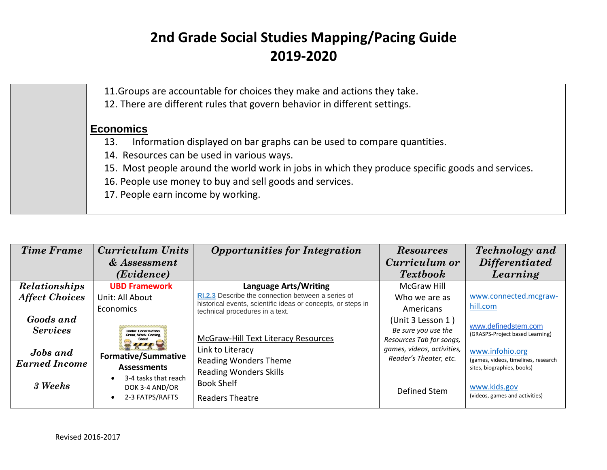| 11. Groups are accountable for choices they make and actions they take.                          |
|--------------------------------------------------------------------------------------------------|
| 12. There are different rules that govern behavior in different settings.                        |
| <b>Economics</b>                                                                                 |
| Information displayed on bar graphs can be used to compare quantities.<br>13.                    |
| 14. Resources can be used in various ways.                                                       |
| 15. Most people around the world work in jobs in which they produce specific goods and services. |
| 16. People use money to buy and sell goods and services.                                         |
| 17. People earn income by working.                                                               |
|                                                                                                  |

| <b>Time Frame</b>     | Curriculum Units                                      | <b>Opportunities for Integration</b>                                                            | <b>Resources</b>                                     | <b>Technology</b> and                                             |
|-----------------------|-------------------------------------------------------|-------------------------------------------------------------------------------------------------|------------------------------------------------------|-------------------------------------------------------------------|
|                       | & Assessment                                          |                                                                                                 | Curriculum or                                        | <i>Differentiated</i>                                             |
|                       | (Evidence)                                            |                                                                                                 | <b>Textbook</b>                                      | Learning                                                          |
| <b>Relationships</b>  | <b>UBD Framework</b>                                  | <b>Language Arts/Writing</b>                                                                    | McGraw Hill                                          |                                                                   |
| <b>Affect Choices</b> | Unit: All About                                       | RI.2.3 Describe the connection between a series of                                              | Who we are as                                        | www.connected.mcgraw-                                             |
|                       | <b>Economics</b>                                      | historical events, scientific ideas or concepts, or steps in<br>technical procedures in a text. | Americans                                            | hill.com                                                          |
| Goods and             |                                                       |                                                                                                 | (Unit 3 Lesson 1)                                    |                                                                   |
| <b>Services</b>       | <b>Under Construction</b><br><b>Great Work Coming</b> |                                                                                                 | Be sure you use the                                  | www.definedstem.com<br>(GRASPS-Project based Learning)            |
|                       |                                                       | <b>McGraw-Hill Text Literacy Resources</b>                                                      | Resources Tab for songs,                             |                                                                   |
| <b>Jobs</b> and       | <b>Formative/Summative</b>                            | Link to Literacy                                                                                | games, videos, activities,<br>Reader's Theater, etc. | www.infohio.org                                                   |
| <b>Earned Income</b>  | <b>Assessments</b>                                    | <b>Reading Wonders Theme</b>                                                                    |                                                      | (games, videos, timelines, research<br>sites, biographies, books) |
|                       | 3-4 tasks that reach                                  | <b>Reading Wonders Skills</b>                                                                   |                                                      |                                                                   |
| 3 Weeks               | DOK 3-4 AND/OR                                        | <b>Book Shelf</b>                                                                               | Defined Stem                                         | www.kids.gov                                                      |
|                       | 2-3 FATPS/RAFTS                                       | <b>Readers Theatre</b>                                                                          |                                                      | (videos, games and activities)                                    |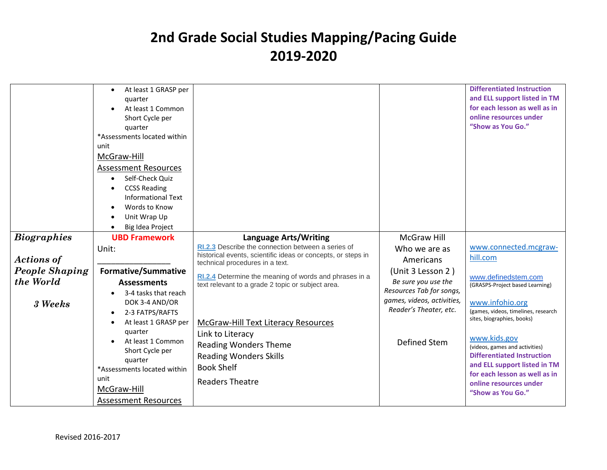|                       | At least 1 GRASP per         |                                                              |                                                        | <b>Differentiated Instruction</b>                                 |
|-----------------------|------------------------------|--------------------------------------------------------------|--------------------------------------------------------|-------------------------------------------------------------------|
|                       | quarter                      |                                                              |                                                        | and ELL support listed in TM                                      |
|                       | At least 1 Common            |                                                              |                                                        | for each lesson as well as in                                     |
|                       | Short Cycle per              |                                                              |                                                        | online resources under                                            |
|                       | quarter                      |                                                              |                                                        | "Show as You Go."                                                 |
|                       | *Assessments located within  |                                                              |                                                        |                                                                   |
|                       | unit                         |                                                              |                                                        |                                                                   |
|                       | McGraw-Hill                  |                                                              |                                                        |                                                                   |
|                       | Assessment Resources         |                                                              |                                                        |                                                                   |
|                       | Self-Check Quiz              |                                                              |                                                        |                                                                   |
|                       | <b>CCSS Reading</b>          |                                                              |                                                        |                                                                   |
|                       | <b>Informational Text</b>    |                                                              |                                                        |                                                                   |
|                       | Words to Know                |                                                              |                                                        |                                                                   |
|                       | Unit Wrap Up                 |                                                              |                                                        |                                                                   |
|                       | Big Idea Project             |                                                              |                                                        |                                                                   |
| <b>Biographies</b>    | <b>UBD Framework</b>         | <b>Language Arts/Writing</b>                                 | <b>McGraw Hill</b>                                     |                                                                   |
|                       | Unit:                        | RI.2.3 Describe the connection between a series of           |                                                        | www.connected.mcgraw-                                             |
|                       |                              | historical events, scientific ideas or concepts, or steps in | Who we are as                                          | hill.com                                                          |
| <b>Actions of</b>     |                              | technical procedures in a text.                              | Americans                                              |                                                                   |
| <b>People Shaping</b> | <b>Formative/Summative</b>   | RI.2.4 Determine the meaning of words and phrases in a       | (Unit 3 Lesson 2)                                      | www.definedstem.com                                               |
| the World             | <b>Assessments</b>           | text relevant to a grade 2 topic or subject area.            | Be sure you use the                                    | (GRASPS-Project based Learning)                                   |
|                       | 3-4 tasks that reach         |                                                              | Resources Tab for songs,<br>games, videos, activities, |                                                                   |
| 3 Weeks               | DOK 3-4 AND/OR               |                                                              | Reader's Theater, etc.                                 | www.infohio.org                                                   |
|                       | 2-3 FATPS/RAFTS<br>$\bullet$ |                                                              |                                                        | (games, videos, timelines, research<br>sites, biographies, books) |
|                       | At least 1 GRASP per         | McGraw-Hill Text Literacy Resources                          |                                                        |                                                                   |
|                       | quarter                      | Link to Literacy                                             |                                                        | www.kids.gov                                                      |
|                       | At least 1 Common            | <b>Reading Wonders Theme</b>                                 | Defined Stem                                           | (videos, games and activities)                                    |
|                       | Short Cycle per              | <b>Reading Wonders Skills</b>                                |                                                        | <b>Differentiated Instruction</b>                                 |
|                       | quarter                      | <b>Book Shelf</b>                                            |                                                        | and ELL support listed in TM                                      |
|                       | *Assessments located within  |                                                              |                                                        | for each lesson as well as in                                     |
|                       | unit                         | <b>Readers Theatre</b>                                       |                                                        | online resources under                                            |
|                       | McGraw-Hill                  |                                                              |                                                        | "Show as You Go."                                                 |
|                       | Assessment Resources         |                                                              |                                                        |                                                                   |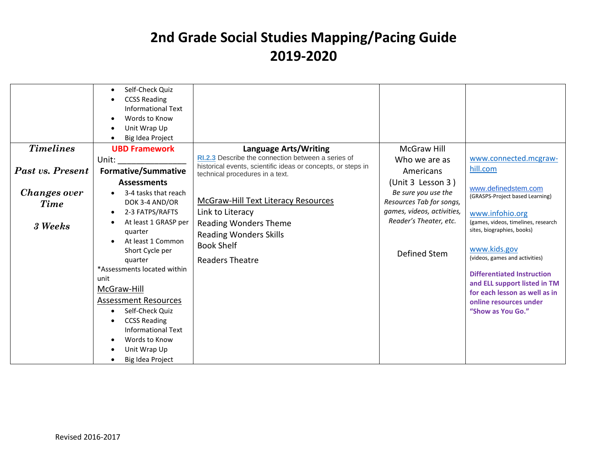|                                        | Self-Check Quiz<br><b>CCSS Reading</b><br>Informational Text<br>Words to Know<br>Unit Wrap Up<br>Big Idea Project                                                                                                                                                                                                                                                |                                                                                                                                                                                |                                                                                                                         |                                                                                                                                                                                                                                                                                                                                                       |
|----------------------------------------|------------------------------------------------------------------------------------------------------------------------------------------------------------------------------------------------------------------------------------------------------------------------------------------------------------------------------------------------------------------|--------------------------------------------------------------------------------------------------------------------------------------------------------------------------------|-------------------------------------------------------------------------------------------------------------------------|-------------------------------------------------------------------------------------------------------------------------------------------------------------------------------------------------------------------------------------------------------------------------------------------------------------------------------------------------------|
| <b>Timelines</b>                       | <b>UBD Framework</b>                                                                                                                                                                                                                                                                                                                                             | <b>Language Arts/Writing</b>                                                                                                                                                   | <b>McGraw Hill</b>                                                                                                      |                                                                                                                                                                                                                                                                                                                                                       |
|                                        | Unit:                                                                                                                                                                                                                                                                                                                                                            | <b>RI.2.3</b> Describe the connection between a series of                                                                                                                      | Who we are as                                                                                                           | www.connected.mcgraw-                                                                                                                                                                                                                                                                                                                                 |
| Past vs. Present                       | <b>Formative/Summative</b>                                                                                                                                                                                                                                                                                                                                       | historical events, scientific ideas or concepts, or steps in<br>technical procedures in a text.                                                                                | Americans                                                                                                               | hill.com                                                                                                                                                                                                                                                                                                                                              |
|                                        | <b>Assessments</b>                                                                                                                                                                                                                                                                                                                                               |                                                                                                                                                                                | (Unit 3 Lesson 3)                                                                                                       |                                                                                                                                                                                                                                                                                                                                                       |
| Changes over<br><b>Time</b><br>3 Weeks | 3-4 tasks that reach<br>DOK 3-4 AND/OR<br>2-3 FATPS/RAFTS<br>At least 1 GRASP per<br>quarter<br>At least 1 Common<br>Short Cycle per<br>quarter<br>*Assessments located within<br>unit<br>McGraw-Hill<br><b>Assessment Resources</b><br>Self-Check Quiz<br><b>CCSS Reading</b><br><b>Informational Text</b><br>Words to Know<br>Unit Wrap Up<br>Big Idea Project | <b>McGraw-Hill Text Literacy Resources</b><br>Link to Literacy<br><b>Reading Wonders Theme</b><br><b>Reading Wonders Skills</b><br><b>Book Shelf</b><br><b>Readers Theatre</b> | Be sure you use the<br>Resources Tab for songs,<br>games, videos, activities,<br>Reader's Theater, etc.<br>Defined Stem | www.definedstem.com<br>(GRASPS-Project based Learning)<br>www.infohio.org<br>(games, videos, timelines, research<br>sites, biographies, books)<br>www.kids.gov<br>(videos, games and activities)<br><b>Differentiated Instruction</b><br>and ELL support listed in TM<br>for each lesson as well as in<br>online resources under<br>"Show as You Go." |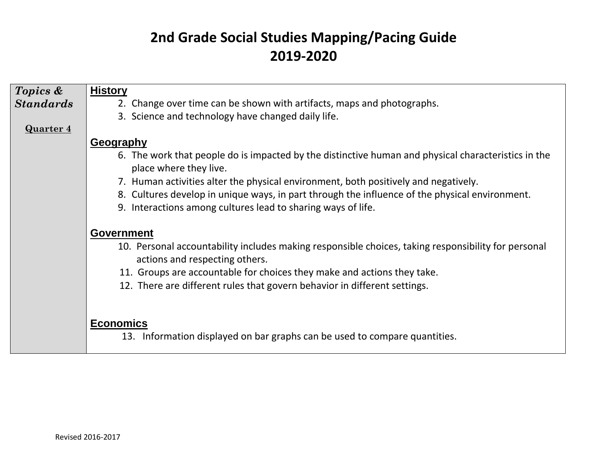| Topics &         | <b>History</b>                                                                                                                        |
|------------------|---------------------------------------------------------------------------------------------------------------------------------------|
| <b>Standards</b> | 2. Change over time can be shown with artifacts, maps and photographs.                                                                |
|                  | 3. Science and technology have changed daily life.                                                                                    |
| <b>Quarter 4</b> |                                                                                                                                       |
|                  | Geography                                                                                                                             |
|                  | 6. The work that people do is impacted by the distinctive human and physical characteristics in the<br>place where they live.         |
|                  | 7. Human activities alter the physical environment, both positively and negatively.                                                   |
|                  | 8. Cultures develop in unique ways, in part through the influence of the physical environment.                                        |
|                  | 9. Interactions among cultures lead to sharing ways of life.                                                                          |
|                  |                                                                                                                                       |
|                  | <b>Government</b>                                                                                                                     |
|                  | 10. Personal accountability includes making responsible choices, taking responsibility for personal<br>actions and respecting others. |
|                  | 11. Groups are accountable for choices they make and actions they take.                                                               |
|                  | 12. There are different rules that govern behavior in different settings.                                                             |
|                  |                                                                                                                                       |
|                  |                                                                                                                                       |
|                  | <b>Economics</b>                                                                                                                      |
|                  | 13. Information displayed on bar graphs can be used to compare quantities.                                                            |
|                  |                                                                                                                                       |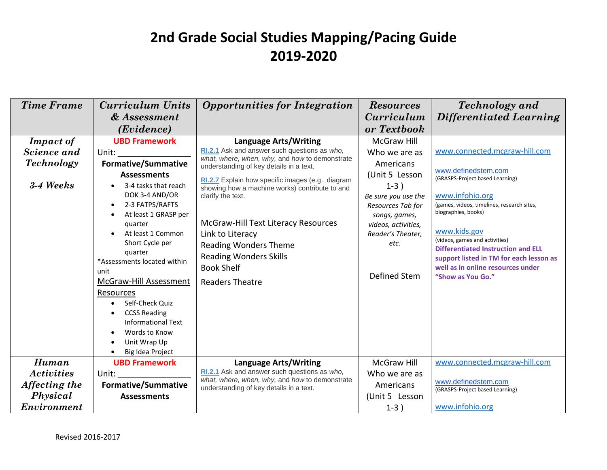| <b>Time Frame</b>                                                      | <b>Curriculum Units</b><br>& Assessment<br>(Evidence)                                                                                                                                                                                                                                                                                                                                                                                                                                              | <b>Opportunities for Integration</b>                                                                                                                                                                                                                                                                                                                                                                                                                                             | <b>Resources</b><br><i>Curriculum</i><br>or Textbook                                                                                                                                                          | <b>Technology</b> and<br><b>Differentiated Learning</b>                                                                                                                                                                                                                                                                                                                             |
|------------------------------------------------------------------------|----------------------------------------------------------------------------------------------------------------------------------------------------------------------------------------------------------------------------------------------------------------------------------------------------------------------------------------------------------------------------------------------------------------------------------------------------------------------------------------------------|----------------------------------------------------------------------------------------------------------------------------------------------------------------------------------------------------------------------------------------------------------------------------------------------------------------------------------------------------------------------------------------------------------------------------------------------------------------------------------|---------------------------------------------------------------------------------------------------------------------------------------------------------------------------------------------------------------|-------------------------------------------------------------------------------------------------------------------------------------------------------------------------------------------------------------------------------------------------------------------------------------------------------------------------------------------------------------------------------------|
| <b>Impact of</b><br>Science and<br><b>Technology</b><br>3-4 Weeks      | <b>UBD Framework</b><br>Unit:<br><b>Formative/Summative</b><br><b>Assessments</b><br>3-4 tasks that reach<br>DOK 3-4 AND/OR<br>2-3 FATPS/RAFTS<br>$\bullet$<br>At least 1 GRASP per<br>$\bullet$<br>quarter<br>At least 1 Common<br>Short Cycle per<br>quarter<br>*Assessments located within<br>unit<br>McGraw-Hill Assessment<br>Resources<br>Self-Check Quiz<br><b>CCSS Reading</b><br>$\bullet$<br><b>Informational Text</b><br>Words to Know<br>Unit Wrap Up<br>$\bullet$<br>Big Idea Project | <b>Language Arts/Writing</b><br>RI.2.1 Ask and answer such questions as who,<br>what, where, when, why, and how to demonstrate<br>understanding of key details in a text.<br>RI.2.7 Explain how specific images (e.g., diagram<br>showing how a machine works) contribute to and<br>clarify the text.<br>McGraw-Hill Text Literacy Resources<br>Link to Literacy<br><b>Reading Wonders Theme</b><br><b>Reading Wonders Skills</b><br><b>Book Shelf</b><br><b>Readers Theatre</b> | <b>McGraw Hill</b><br>Who we are as<br>Americans<br>(Unit 5 Lesson<br>$1-3)$<br>Be sure you use the<br>Resources Tab for<br>songs, games,<br>videos, activities,<br>Reader's Theater,<br>etc.<br>Defined Stem | www.connected.mcgraw-hill.com<br>www.definedstem.com<br>(GRASPS-Project based Learning)<br>www.infohio.org<br>(games, videos, timelines, research sites,<br>biographies, books)<br>www.kids.gov<br>(videos, games and activities)<br><b>Differentiated Instruction and ELL</b><br>support listed in TM for each lesson as<br>well as in online resources under<br>"Show as You Go." |
| Human<br><b>Activities</b><br>Affecting the<br>Physical<br>Environment | <b>UBD Framework</b><br>Unit:<br><b>Formative/Summative</b><br><b>Assessments</b>                                                                                                                                                                                                                                                                                                                                                                                                                  | <b>Language Arts/Writing</b><br>RI.2.1 Ask and answer such questions as who,<br>what, where, when, why, and how to demonstrate<br>understanding of key details in a text.                                                                                                                                                                                                                                                                                                        | <b>McGraw Hill</b><br>Who we are as<br>Americans<br>(Unit 5 Lesson<br>$1-3)$                                                                                                                                  | www.connected.mcgraw-hill.com<br>www.definedstem.com<br>(GRASPS-Project based Learning)<br>www.infohio.org                                                                                                                                                                                                                                                                          |